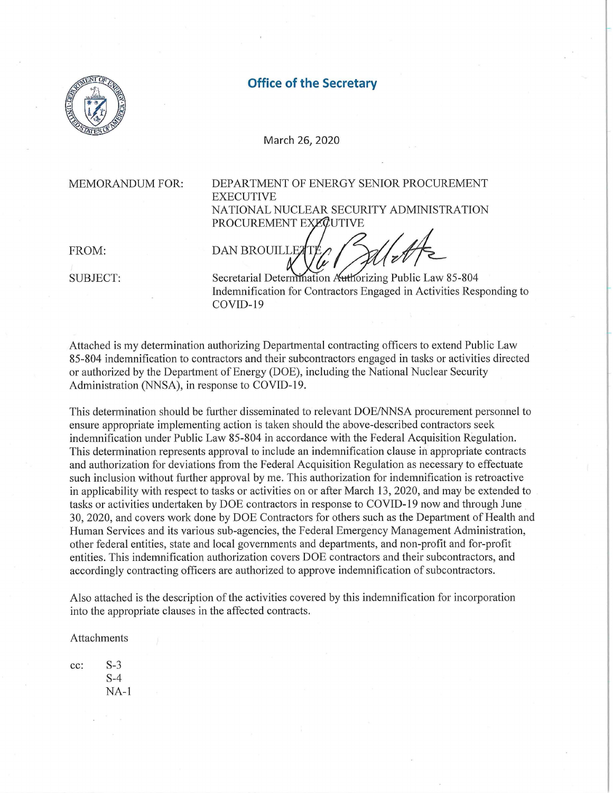

## **Office of the Secretary**

March 26, 2020

PROCUREMENT EXEQUTIVE

MEMORANDUM FOR: DEPARTMENT OF ENERGY SENIOR PROCUREMENT EXECUTIVE NATIONAL NUCLEAR SECURITY ADMINISTRATION

FROM:

FROM: DAN BROUILLETTÉ / MATE<br>SUBJECT: Secretarial Determination Authorizing Public Law 85-804

Indemnification for Contractors Engaged in Activities Responding to COVID-19

Attached is my determination authorizing Depatimental contracting officers to extend Public Law 85-804 indemnification to contractors and their subcontractors engaged in tasks or activities directed or authorized by the Department of Energy (DOE), including the National Nuclear Security Administration (NNSA), in response to COVID-19.

This determination should be further disseminated to relevant DOE/NNSA procurement personnel to ensure appropriate implementing action is taken should the above-described contractors seek indemnification under Public Law 85-804 in accordance with the Federal Acquisition Regulation. This determination represents approval to include an indemnification clause in appropriate contracts and authorization for deviations from the Federal Acquisition Regulation as necessary to effectuate such inclusion without further approval by me. This authorization for indemnification is retroactive in applicability with respect to tasks or activities on or after March 13, 2020, and may be extended to tasks or activities undertaken by DOE contractors in response to COVID-19 now and through June 30, 2020, and covers work done by DOE Contractors for others such as the Department of Health and Human Services and its various sub-agencies, the Federal Emergency Management Administration, other federal entities, state and local governments and depatiments, and non-profit and for-profit entities. This indemnification authorization covers DOE contractors and their subcontractors, and accordingly contracting officers are authorized to approve indemnification of subcontractors.

Also attached is the description of the activities covered by this indemnification for incorporation into the appropriate clauses in the affected contracts.

Attachments

cc: S-3 S-4 NA-1